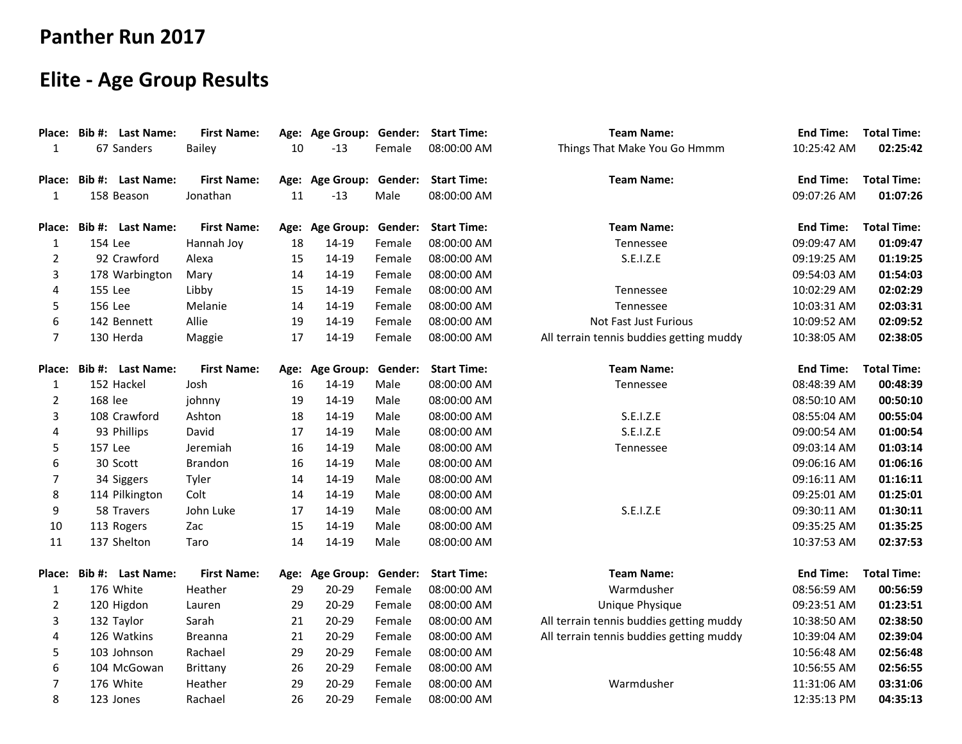## **Panther Run 2017**

## **Elite - Age Group Results**

| Place:         |         | Bib #: Last Name: | <b>First Name:</b> |    | Age: Age Group: Gender: Start Time: |        |                    | <b>Team Name:</b>                        | <b>End Time:</b> | <b>Total Time:</b> |
|----------------|---------|-------------------|--------------------|----|-------------------------------------|--------|--------------------|------------------------------------------|------------------|--------------------|
| 1              |         | 67 Sanders        | <b>Bailey</b>      | 10 | $-13$                               | Female | 08:00:00 AM        | Things That Make You Go Hmmm             | 10:25:42 AM      | 02:25:42           |
| Place:         |         | Bib #: Last Name: | <b>First Name:</b> |    | Age: Age Group: Gender: Start Time: |        |                    | <b>Team Name:</b>                        | <b>End Time:</b> | <b>Total Time:</b> |
| 1              |         | 158 Beason        | Jonathan           | 11 | $-13$                               | Male   | 08:00:00 AM        |                                          | 09:07:26 AM      | 01:07:26           |
| Place:         |         | Bib #: Last Name: | <b>First Name:</b> |    | Age: Age Group: Gender:             |        | <b>Start Time:</b> | <b>Team Name:</b>                        | <b>End Time:</b> | <b>Total Time:</b> |
| $\mathbf{1}$   | 154 Lee |                   | Hannah Joy         | 18 | 14-19                               | Female | 08:00:00 AM        | Tennessee                                | 09:09:47 AM      | 01:09:47           |
| $\overline{2}$ |         | 92 Crawford       | Alexa              | 15 | 14-19                               | Female | 08:00:00 AM        | S.E.I.Z.E                                | 09:19:25 AM      | 01:19:25           |
| 3              |         | 178 Warbington    | Mary               | 14 | 14-19                               | Female | 08:00:00 AM        |                                          | 09:54:03 AM      | 01:54:03           |
| 4              | 155 Lee |                   | Libby              | 15 | 14-19                               | Female | 08:00:00 AM        | Tennessee                                | 10:02:29 AM      | 02:02:29           |
| 5              | 156 Lee |                   | Melanie            | 14 | 14-19                               | Female | 08:00:00 AM        | Tennessee                                | 10:03:31 AM      | 02:03:31           |
| 6              |         | 142 Bennett       | Allie              | 19 | 14-19                               | Female | 08:00:00 AM        | Not Fast Just Furious                    | 10:09:52 AM      | 02:09:52           |
| 7              |         | 130 Herda         | Maggie             | 17 | 14-19                               | Female | 08:00:00 AM        | All terrain tennis buddies getting muddy | 10:38:05 AM      | 02:38:05           |
| Place:         |         | Bib #: Last Name: | <b>First Name:</b> |    | Age: Age Group: Gender:             |        | <b>Start Time:</b> | <b>Team Name:</b>                        | <b>End Time:</b> | <b>Total Time:</b> |
| $\mathbf{1}$   |         | 152 Hackel        | Josh               | 16 | 14-19                               | Male   | 08:00:00 AM        | Tennessee                                | 08:48:39 AM      | 00:48:39           |
| 2              | 168 lee |                   | johnny             | 19 | 14-19                               | Male   | 08:00:00 AM        |                                          | 08:50:10 AM      | 00:50:10           |
| 3              |         | 108 Crawford      | Ashton             | 18 | 14-19                               | Male   | 08:00:00 AM        | S.E.I.Z.E                                | 08:55:04 AM      | 00:55:04           |
| 4              |         | 93 Phillips       | David              | 17 | 14-19                               | Male   | 08:00:00 AM        | S.E.I.Z.E                                | 09:00:54 AM      | 01:00:54           |
| 5              | 157 Lee |                   | Jeremiah           | 16 | 14-19                               | Male   | 08:00:00 AM        | Tennessee                                | 09:03:14 AM      | 01:03:14           |
| 6              |         | 30 Scott          | <b>Brandon</b>     | 16 | 14-19                               | Male   | 08:00:00 AM        |                                          | 09:06:16 AM      | 01:06:16           |
| $\overline{7}$ |         | 34 Siggers        | Tyler              | 14 | 14-19                               | Male   | 08:00:00 AM        |                                          | 09:16:11 AM      | 01:16:11           |
| 8              |         | 114 Pilkington    | Colt               | 14 | 14-19                               | Male   | 08:00:00 AM        |                                          | 09:25:01 AM      | 01:25:01           |
| 9              |         | 58 Travers        | John Luke          | 17 | 14-19                               | Male   | 08:00:00 AM        | S.E.I.Z.E                                | 09:30:11 AM      | 01:30:11           |
| 10             |         | 113 Rogers        | Zac                | 15 | 14-19                               | Male   | 08:00:00 AM        |                                          | 09:35:25 AM      | 01:35:25           |
| 11             |         | 137 Shelton       | Taro               | 14 | 14-19                               | Male   | 08:00:00 AM        |                                          | 10:37:53 AM      | 02:37:53           |
| Place:         |         | Bib #: Last Name: | <b>First Name:</b> |    | Age: Age Group: Gender:             |        | <b>Start Time:</b> | <b>Team Name:</b>                        | <b>End Time:</b> | <b>Total Time:</b> |
| $\mathbf{1}$   |         | 176 White         | Heather            | 29 | $20 - 29$                           | Female | 08:00:00 AM        | Warmdusher                               | 08:56:59 AM      | 00:56:59           |
| $\overline{2}$ |         | 120 Higdon        | Lauren             | 29 | $20 - 29$                           | Female | 08:00:00 AM        | Unique Physique                          | 09:23:51 AM      | 01:23:51           |
| 3              |         | 132 Taylor        | Sarah              | 21 | $20 - 29$                           | Female | 08:00:00 AM        | All terrain tennis buddies getting muddy | 10:38:50 AM      | 02:38:50           |
| 4              |         | 126 Watkins       | <b>Breanna</b>     | 21 | 20-29                               | Female | 08:00:00 AM        | All terrain tennis buddies getting muddy | 10:39:04 AM      | 02:39:04           |
| 5              |         | 103 Johnson       | Rachael            | 29 | $20 - 29$                           | Female | 08:00:00 AM        |                                          | 10:56:48 AM      | 02:56:48           |
| 6              |         | 104 McGowan       | <b>Brittany</b>    | 26 | $20 - 29$                           | Female | 08:00:00 AM        |                                          | 10:56:55 AM      | 02:56:55           |
| 7              |         | 176 White         | Heather            | 29 | 20-29                               | Female | 08:00:00 AM        | Warmdusher                               | 11:31:06 AM      | 03:31:06           |
| 8              |         | 123 Jones         | Rachael            | 26 | $20 - 29$                           | Female | 08:00:00 AM        |                                          | 12:35:13 PM      | 04:35:13           |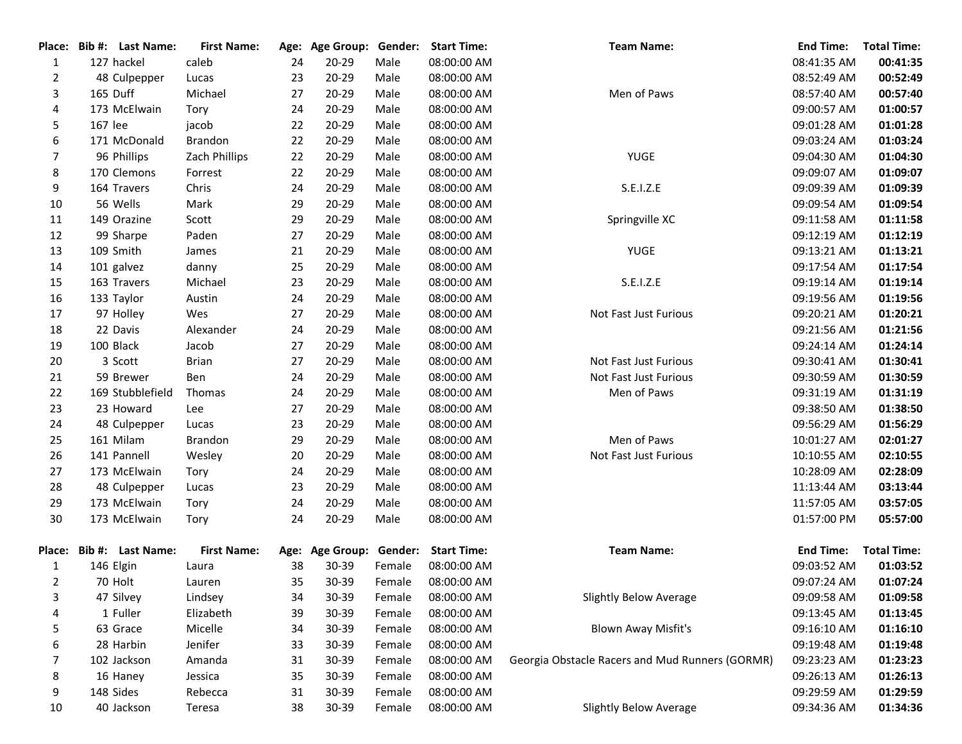| Place:         |         | Bib #: Last Name: | <b>First Name:</b> |    |           |        | Age: Age Group: Gender: Start Time: | <b>Team Name:</b>                               | <b>End Time:</b> | <b>Total Time:</b> |
|----------------|---------|-------------------|--------------------|----|-----------|--------|-------------------------------------|-------------------------------------------------|------------------|--------------------|
| 1              |         | 127 hackel        | caleb              | 24 | 20-29     | Male   | 08:00:00 AM                         |                                                 | 08:41:35 AM      | 00:41:35           |
| $\overline{2}$ |         | 48 Culpepper      | Lucas              | 23 | $20 - 29$ | Male   | 08:00:00 AM                         |                                                 | 08:52:49 AM      | 00:52:49           |
| 3              |         | 165 Duff          | Michael            | 27 | $20 - 29$ | Male   | 08:00:00 AM                         | Men of Paws                                     | 08:57:40 AM      | 00:57:40           |
| 4              |         | 173 McElwain      | Tory               | 24 | $20 - 29$ | Male   | 08:00:00 AM                         |                                                 | 09:00:57 AM      | 01:00:57           |
| 5              | 167 lee |                   | jacob              | 22 | $20 - 29$ | Male   | 08:00:00 AM                         |                                                 | 09:01:28 AM      | 01:01:28           |
| 6              |         | 171 McDonald      | Brandon            | 22 | $20 - 29$ | Male   | 08:00:00 AM                         |                                                 | 09:03:24 AM      | 01:03:24           |
| 7              |         | 96 Phillips       | Zach Phillips      | 22 | $20 - 29$ | Male   | 08:00:00 AM                         | <b>YUGE</b>                                     | 09:04:30 AM      | 01:04:30           |
| 8              |         | 170 Clemons       | Forrest            | 22 | $20 - 29$ | Male   | 08:00:00 AM                         |                                                 | 09:09:07 AM      | 01:09:07           |
| 9              |         | 164 Travers       | Chris              | 24 | $20 - 29$ | Male   | 08:00:00 AM                         | S.E.I.Z.E                                       | 09:09:39 AM      | 01:09:39           |
| 10             |         | 56 Wells          | Mark               | 29 | 20-29     | Male   | 08:00:00 AM                         |                                                 | 09:09:54 AM      | 01:09:54           |
| 11             |         | 149 Orazine       | Scott              | 29 | 20-29     | Male   | 08:00:00 AM                         | Springville XC                                  | 09:11:58 AM      | 01:11:58           |
| 12             |         | 99 Sharpe         | Paden              | 27 | 20-29     | Male   | 08:00:00 AM                         |                                                 | 09:12:19 AM      | 01:12:19           |
| 13             |         | 109 Smith         | James              | 21 | $20 - 29$ | Male   | 08:00:00 AM                         | YUGE                                            | 09:13:21 AM      | 01:13:21           |
| 14             |         | 101 galvez        | danny              | 25 | $20 - 29$ | Male   | 08:00:00 AM                         |                                                 | 09:17:54 AM      | 01:17:54           |
| 15             |         | 163 Travers       | Michael            | 23 | $20 - 29$ | Male   | 08:00:00 AM                         | S.E.I.Z.E                                       | 09:19:14 AM      | 01:19:14           |
| 16             |         | 133 Taylor        | Austin             | 24 | 20-29     | Male   | 08:00:00 AM                         |                                                 | 09:19:56 AM      | 01:19:56           |
| 17             |         | 97 Holley         | Wes                | 27 | 20-29     | Male   | 08:00:00 AM                         | Not Fast Just Furious                           | 09:20:21 AM      | 01:20:21           |
| 18             |         | 22 Davis          | Alexander          | 24 | $20 - 29$ | Male   | 08:00:00 AM                         |                                                 | 09:21:56 AM      | 01:21:56           |
| 19             |         | 100 Black         | Jacob              | 27 | $20 - 29$ | Male   | 08:00:00 AM                         |                                                 | 09:24:14 AM      | 01:24:14           |
| 20             |         | 3 Scott           | <b>Brian</b>       | 27 | $20 - 29$ | Male   | 08:00:00 AM                         | Not Fast Just Furious                           | 09:30:41 AM      | 01:30:41           |
| 21             |         | 59 Brewer         | Ben                | 24 | $20 - 29$ | Male   | 08:00:00 AM                         | Not Fast Just Furious                           | 09:30:59 AM      | 01:30:59           |
| 22             |         | 169 Stubblefield  | Thomas             | 24 | 20-29     | Male   | 08:00:00 AM                         | Men of Paws                                     | 09:31:19 AM      | 01:31:19           |
| 23             |         | 23 Howard         | Lee                | 27 | 20-29     | Male   | 08:00:00 AM                         |                                                 | 09:38:50 AM      | 01:38:50           |
| 24             |         | 48 Culpepper      | Lucas              | 23 | $20 - 29$ | Male   | 08:00:00 AM                         |                                                 | 09:56:29 AM      | 01:56:29           |
| 25             |         | 161 Milam         | Brandon            | 29 | $20 - 29$ | Male   | 08:00:00 AM                         | Men of Paws                                     | 10:01:27 AM      | 02:01:27           |
| 26             |         | 141 Pannell       | Wesley             | 20 | $20 - 29$ | Male   | 08:00:00 AM                         | Not Fast Just Furious                           | 10:10:55 AM      | 02:10:55           |
| 27             |         | 173 McElwain      | Tory               | 24 | $20 - 29$ | Male   | 08:00:00 AM                         |                                                 | 10:28:09 AM      | 02:28:09           |
| 28             |         | 48 Culpepper      | Lucas              | 23 | $20 - 29$ | Male   | 08:00:00 AM                         |                                                 | 11:13:44 AM      | 03:13:44           |
| 29             |         | 173 McElwain      | Tory               | 24 | $20 - 29$ | Male   | 08:00:00 AM                         |                                                 | 11:57:05 AM      | 03:57:05           |
| 30             |         | 173 McElwain      | Tory               | 24 | 20-29     | Male   | 08:00:00 AM                         |                                                 | 01:57:00 PM      | 05:57:00           |
|                |         |                   |                    |    |           |        |                                     |                                                 |                  |                    |
| Place:         |         | Bib #: Last Name: | <b>First Name:</b> |    |           |        | Age: Age Group: Gender: Start Time: | <b>Team Name:</b>                               | <b>End Time:</b> | <b>Total Time:</b> |
| 1              |         | 146 Elgin         | Laura              | 38 | 30-39     | Female | 08:00:00 AM                         |                                                 | 09:03:52 AM      | 01:03:52           |
| 2              |         | 70 Holt           | Lauren             | 35 | $30 - 39$ | Female | 08:00:00 AM                         |                                                 | 09:07:24 AM      | 01:07:24           |
| 3              |         | 47 Silvey         | Lindsey            | 34 | 30-39     | Female | 08:00:00 AM                         | Slightly Below Average                          | 09:09:58 AM      | 01:09:58           |
| 4              |         | 1 Fuller          | Elizabeth          | 39 | 30-39     | Female | 08:00:00 AM                         |                                                 | 09:13:45 AM      | 01:13:45           |
| 5              |         | 63 Grace          | Micelle            | 34 | 30-39     | Female | 08:00:00 AM                         | <b>Blown Away Misfit's</b>                      | 09:16:10 AM      | 01:16:10           |
| 6              |         | 28 Harbin         | Jenifer            | 33 | 30-39     | Female | 08:00:00 AM                         |                                                 | 09:19:48 AM      | 01:19:48           |
| 7              |         | 102 Jackson       | Amanda             | 31 | 30-39     | Female | 08:00:00 AM                         | Georgia Obstacle Racers and Mud Runners (GORMR) | 09:23:23 AM      | 01:23:23           |
| 8              |         | 16 Haney          | Jessica            | 35 | 30-39     | Female | 08:00:00 AM                         |                                                 | 09:26:13 AM      | 01:26:13           |
| 9              |         | 148 Sides         | Rebecca            | 31 | 30-39     | Female | 08:00:00 AM                         |                                                 | 09:29:59 AM      | 01:29:59           |
| 10             |         | 40 Jackson        | Teresa             | 38 | 30-39     | Female | 08:00:00 AM                         | <b>Slightly Below Average</b>                   | 09:34:36 AM      | 01:34:36           |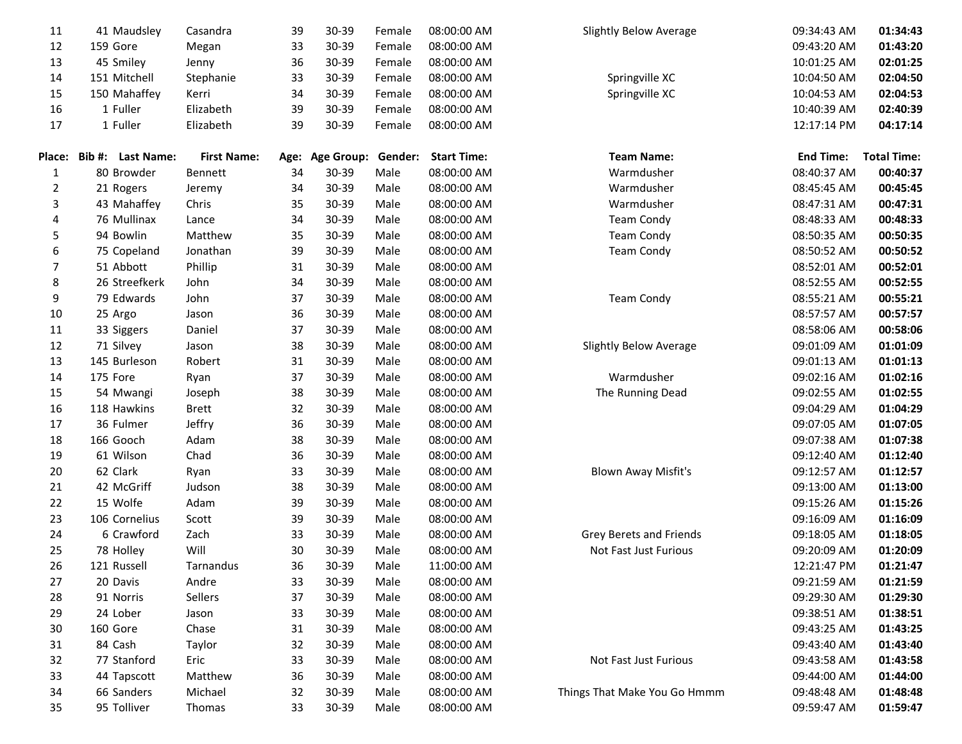| 11     | 41 Maudsley       | Casandra           | 39   | 30-39             | Female  | 08:00:00 AM        | <b>Slightly Below Average</b> | 09:34:43 AM      | 01:34:43           |
|--------|-------------------|--------------------|------|-------------------|---------|--------------------|-------------------------------|------------------|--------------------|
| 12     | 159 Gore          | Megan              | 33   | 30-39             | Female  | 08:00:00 AM        |                               | 09:43:20 AM      | 01:43:20           |
| 13     | 45 Smiley         | Jenny              | 36   | 30-39             | Female  | 08:00:00 AM        |                               | 10:01:25 AM      | 02:01:25           |
| 14     | 151 Mitchell      | Stephanie          | 33   | 30-39             | Female  | 08:00:00 AM        | Springville XC                | 10:04:50 AM      | 02:04:50           |
| 15     | 150 Mahaffey      | Kerri              | 34   | 30-39             | Female  | 08:00:00 AM        | Springville XC                | 10:04:53 AM      | 02:04:53           |
| 16     | 1 Fuller          | Elizabeth          | 39   | 30-39             | Female  | 08:00:00 AM        |                               | 10:40:39 AM      | 02:40:39           |
| 17     | 1 Fuller          | Elizabeth          | 39   | 30-39             | Female  | 08:00:00 AM        |                               | 12:17:14 PM      | 04:17:14           |
|        |                   |                    |      |                   |         |                    |                               |                  |                    |
| Place: | Bib #: Last Name: | <b>First Name:</b> | Age: | <b>Age Group:</b> | Gender: | <b>Start Time:</b> | <b>Team Name:</b>             | <b>End Time:</b> | <b>Total Time:</b> |
| 1      | 80 Browder        | <b>Bennett</b>     | 34   | 30-39             | Male    | 08:00:00 AM        | Warmdusher                    | 08:40:37 AM      | 00:40:37           |
| 2      | 21 Rogers         | Jeremy             | 34   | 30-39             | Male    | 08:00:00 AM        | Warmdusher                    | 08:45:45 AM      | 00:45:45           |
| 3      | 43 Mahaffey       | Chris              | 35   | 30-39             | Male    | 08:00:00 AM        | Warmdusher                    | 08:47:31 AM      | 00:47:31           |
| 4      | 76 Mullinax       | Lance              | 34   | 30-39             | Male    | 08:00:00 AM        | <b>Team Condy</b>             | 08:48:33 AM      | 00:48:33           |
| 5      | 94 Bowlin         | Matthew            | 35   | 30-39             | Male    | 08:00:00 AM        | <b>Team Condy</b>             | 08:50:35 AM      | 00:50:35           |
| 6      | 75 Copeland       | Jonathan           | 39   | 30-39             | Male    | 08:00:00 AM        | <b>Team Condy</b>             | 08:50:52 AM      | 00:50:52           |
| 7      | 51 Abbott         | Phillip            | 31   | 30-39             | Male    | 08:00:00 AM        |                               | 08:52:01 AM      | 00:52:01           |
| 8      | 26 Streefkerk     | John               | 34   | 30-39             | Male    | 08:00:00 AM        |                               | 08:52:55 AM      | 00:52:55           |
| 9      | 79 Edwards        | John               | 37   | 30-39             | Male    | 08:00:00 AM        | <b>Team Condy</b>             | 08:55:21 AM      | 00:55:21           |
| 10     | 25 Argo           | Jason              | 36   | 30-39             | Male    | 08:00:00 AM        |                               | 08:57:57 AM      | 00:57:57           |
| 11     | 33 Siggers        | Daniel             | 37   | 30-39             | Male    | 08:00:00 AM        |                               | 08:58:06 AM      | 00:58:06           |
| 12     | 71 Silvey         | Jason              | 38   | 30-39             | Male    | 08:00:00 AM        | Slightly Below Average        | 09:01:09 AM      | 01:01:09           |
| 13     | 145 Burleson      | Robert             | 31   | 30-39             | Male    | 08:00:00 AM        |                               | 09:01:13 AM      | 01:01:13           |
| 14     | 175 Fore          | Ryan               | 37   | 30-39             | Male    | 08:00:00 AM        | Warmdusher                    | 09:02:16 AM      | 01:02:16           |
| 15     | 54 Mwangi         | Joseph             | 38   | 30-39             | Male    | 08:00:00 AM        | The Running Dead              | 09:02:55 AM      | 01:02:55           |
| 16     | 118 Hawkins       | <b>Brett</b>       | 32   | 30-39             | Male    | 08:00:00 AM        |                               | 09:04:29 AM      | 01:04:29           |
| 17     | 36 Fulmer         | Jeffry             | 36   | 30-39             | Male    | 08:00:00 AM        |                               | 09:07:05 AM      | 01:07:05           |
| 18     | 166 Gooch         | Adam               | 38   | 30-39             | Male    | 08:00:00 AM        |                               | 09:07:38 AM      | 01:07:38           |
| 19     | 61 Wilson         | Chad               | 36   | 30-39             | Male    | 08:00:00 AM        |                               | 09:12:40 AM      | 01:12:40           |
| 20     | 62 Clark          | Ryan               | 33   | 30-39             | Male    | 08:00:00 AM        | <b>Blown Away Misfit's</b>    | 09:12:57 AM      | 01:12:57           |
| 21     | 42 McGriff        | Judson             | 38   | 30-39             | Male    | 08:00:00 AM        |                               | 09:13:00 AM      | 01:13:00           |
| 22     | 15 Wolfe          | Adam               | 39   | 30-39             | Male    | 08:00:00 AM        |                               | 09:15:26 AM      | 01:15:26           |
| 23     | 106 Cornelius     | Scott              | 39   | 30-39             | Male    | 08:00:00 AM        |                               | 09:16:09 AM      | 01:16:09           |
| 24     | 6 Crawford        | Zach               | 33   | 30-39             | Male    | 08:00:00 AM        | Grey Berets and Friends       | 09:18:05 AM      | 01:18:05           |
| 25     | 78 Holley         | Will               | 30   | 30-39             | Male    | 08:00:00 AM        | Not Fast Just Furious         | 09:20:09 AM      | 01:20:09           |
| 26     | 121 Russell       | Tarnandus          | 36   | $30 - 39$         | Male    | 11:00:00 AM        |                               | 12:21:47 PM      | 01:21:47           |
| 27     | 20 Davis          | Andre              | 33   | 30-39             | Male    | 08:00:00 AM        |                               | 09:21:59 AM      | 01:21:59           |
| 28     | 91 Norris         | Sellers            | 37   | 30-39             | Male    | 08:00:00 AM        |                               | 09:29:30 AM      | 01:29:30           |
| 29     | 24 Lober          | Jason              | 33   | 30-39             | Male    | 08:00:00 AM        |                               | 09:38:51 AM      | 01:38:51           |
| 30     | 160 Gore          | Chase              | 31   | 30-39             | Male    | 08:00:00 AM        |                               | 09:43:25 AM      | 01:43:25           |
| 31     | 84 Cash           | Taylor             | 32   | 30-39             | Male    | 08:00:00 AM        |                               | 09:43:40 AM      | 01:43:40           |
| 32     | 77 Stanford       | Eric               | 33   | 30-39             | Male    | 08:00:00 AM        | Not Fast Just Furious         | 09:43:58 AM      | 01:43:58           |
| 33     | 44 Tapscott       | Matthew            | 36   | 30-39             | Male    | 08:00:00 AM        |                               | 09:44:00 AM      | 01:44:00           |
| 34     | 66 Sanders        | Michael            | 32   | 30-39             | Male    | 08:00:00 AM        | Things That Make You Go Hmmm  | 09:48:48 AM      | 01:48:48           |
| 35     | 95 Tolliver       | Thomas             | 33   | 30-39             | Male    | 08:00:00 AM        |                               | 09:59:47 AM      | 01:59:47           |
|        |                   |                    |      |                   |         |                    |                               |                  |                    |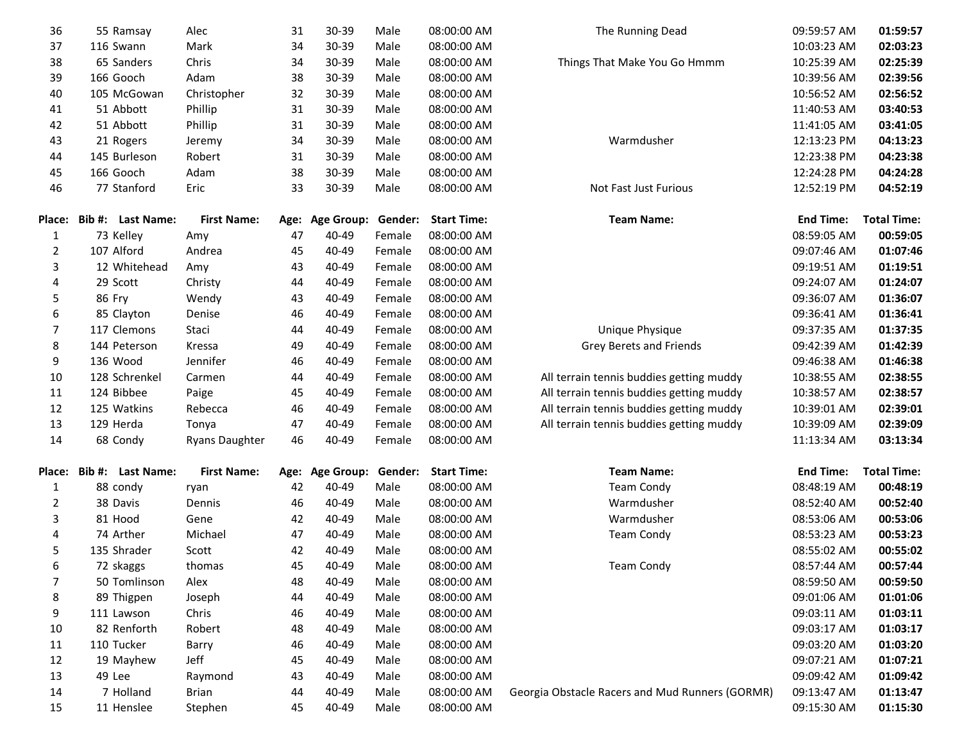| 36           | 55 Ramsay         | Alec                  | 31   | 30-39             | Male    | 08:00:00 AM        | The Running Dead                                | 09:59:57 AM      | 01:59:57           |
|--------------|-------------------|-----------------------|------|-------------------|---------|--------------------|-------------------------------------------------|------------------|--------------------|
| 37           | 116 Swann         | Mark                  | 34   | 30-39             | Male    | 08:00:00 AM        |                                                 | 10:03:23 AM      | 02:03:23           |
| 38           | 65 Sanders        | Chris                 | 34   | 30-39             | Male    | 08:00:00 AM        | Things That Make You Go Hmmm                    | 10:25:39 AM      | 02:25:39           |
| 39           | 166 Gooch         | Adam                  | 38   | 30-39             | Male    | 08:00:00 AM        |                                                 | 10:39:56 AM      | 02:39:56           |
| 40           | 105 McGowan       | Christopher           | 32   | 30-39             | Male    | 08:00:00 AM        |                                                 | 10:56:52 AM      | 02:56:52           |
| 41           | 51 Abbott         | Phillip               | 31   | 30-39             | Male    | 08:00:00 AM        |                                                 | 11:40:53 AM      | 03:40:53           |
| 42           | 51 Abbott         | Phillip               | 31   | 30-39             | Male    | 08:00:00 AM        |                                                 | 11:41:05 AM      | 03:41:05           |
| 43           | 21 Rogers         | Jeremy                | 34   | 30-39             | Male    | 08:00:00 AM        | Warmdusher                                      | 12:13:23 PM      | 04:13:23           |
| 44           | 145 Burleson      | Robert                | 31   | 30-39             | Male    | 08:00:00 AM        |                                                 | 12:23:38 PM      | 04:23:38           |
| 45           | 166 Gooch         | Adam                  | 38   | 30-39             | Male    | 08:00:00 AM        |                                                 | 12:24:28 PM      | 04:24:28           |
| 46           | 77 Stanford       | Eric                  | 33   | 30-39             | Male    | 08:00:00 AM        | Not Fast Just Furious                           | 12:52:19 PM      | 04:52:19           |
| Place:       | Bib #: Last Name: | <b>First Name:</b>    | Age: | <b>Age Group:</b> | Gender: | <b>Start Time:</b> | <b>Team Name:</b>                               | <b>End Time:</b> | <b>Total Time:</b> |
| $\mathbf{1}$ | 73 Kelley         | Amy                   | 47   | 40-49             | Female  | 08:00:00 AM        |                                                 | 08:59:05 AM      | 00:59:05           |
| 2            | 107 Alford        | Andrea                | 45   | 40-49             | Female  | 08:00:00 AM        |                                                 | 09:07:46 AM      | 01:07:46           |
| 3            | 12 Whitehead      | Amy                   | 43   | 40-49             | Female  | 08:00:00 AM        |                                                 | 09:19:51 AM      | 01:19:51           |
| 4            | 29 Scott          | Christy               | 44   | 40-49             | Female  | 08:00:00 AM        |                                                 | 09:24:07 AM      | 01:24:07           |
| 5            | 86 Fry            | Wendy                 | 43   | 40-49             | Female  | 08:00:00 AM        |                                                 | 09:36:07 AM      | 01:36:07           |
| 6            | 85 Clayton        | Denise                | 46   | 40-49             | Female  | 08:00:00 AM        |                                                 | 09:36:41 AM      | 01:36:41           |
| 7            | 117 Clemons       | Staci                 | 44   | 40-49             | Female  | 08:00:00 AM        | Unique Physique                                 | 09:37:35 AM      | 01:37:35           |
| 8            | 144 Peterson      | Kressa                | 49   | 40-49             | Female  | 08:00:00 AM        | Grey Berets and Friends                         | 09:42:39 AM      | 01:42:39           |
| 9            | 136 Wood          | Jennifer              | 46   | 40-49             | Female  | 08:00:00 AM        |                                                 | 09:46:38 AM      | 01:46:38           |
| 10           | 128 Schrenkel     | Carmen                | 44   | 40-49             | Female  | 08:00:00 AM        | All terrain tennis buddies getting muddy        | 10:38:55 AM      | 02:38:55           |
| 11           | 124 Bibbee        | Paige                 | 45   | 40-49             | Female  | 08:00:00 AM        | All terrain tennis buddies getting muddy        | 10:38:57 AM      | 02:38:57           |
| 12           | 125 Watkins       | Rebecca               | 46   | 40-49             | Female  | 08:00:00 AM        | All terrain tennis buddies getting muddy        | 10:39:01 AM      | 02:39:01           |
| 13           | 129 Herda         | Tonya                 | 47   | 40-49             | Female  | 08:00:00 AM        | All terrain tennis buddies getting muddy        | 10:39:09 AM      | 02:39:09           |
| 14           | 68 Condy          | <b>Ryans Daughter</b> | 46   | 40-49             | Female  | 08:00:00 AM        |                                                 | 11:13:34 AM      | 03:13:34           |
| Place:       | Bib #: Last Name: | <b>First Name:</b>    |      | Age: Age Group:   | Gender: | <b>Start Time:</b> | <b>Team Name:</b>                               | <b>End Time:</b> | <b>Total Time:</b> |
| $\mathbf{1}$ | 88 condy          | ryan                  | 42   | 40-49             | Male    | 08:00:00 AM        | <b>Team Condy</b>                               | 08:48:19 AM      | 00:48:19           |
| 2            | 38 Davis          | Dennis                | 46   | 40-49             | Male    | 08:00:00 AM        | Warmdusher                                      | 08:52:40 AM      | 00:52:40           |
| 3            | 81 Hood           | Gene                  | 42   | 40-49             | Male    | 08:00:00 AM        | Warmdusher                                      | 08:53:06 AM      | 00:53:06           |
| 4            | 74 Arther         | Michael               | 47   | 40-49             | Male    | 08:00:00 AM        | <b>Team Condy</b>                               | 08:53:23 AM      | 00:53:23           |
| 5            | 135 Shrader       | Scott                 | 42   | 40-49             | Male    | 08:00:00 AM        |                                                 | 08:55:02 AM      | 00:55:02           |
| 6            | 72 skaggs         | thomas                | 45   | 40-49             | Male    | 08:00:00 AM        | <b>Team Condy</b>                               | 08:57:44 AM      | 00:57:44           |
| 7            | 50 Tomlinson      | Alex                  | 48   | 40-49             | Male    | 08:00:00 AM        |                                                 | 08:59:50 AM      | 00:59:50           |
| 8            | 89 Thigpen        | Joseph                | 44   | 40-49             | Male    | 08:00:00 AM        |                                                 | 09:01:06 AM      | 01:01:06           |
| 9            | 111 Lawson        | Chris                 | 46   | 40-49             | Male    | 08:00:00 AM        |                                                 | 09:03:11 AM      | 01:03:11           |
| 10           | 82 Renforth       | Robert                | 48   | 40-49             | Male    | 08:00:00 AM        |                                                 | 09:03:17 AM      | 01:03:17           |
| 11           | 110 Tucker        | Barry                 | 46   | 40-49             | Male    | 08:00:00 AM        |                                                 | 09:03:20 AM      | 01:03:20           |
| 12           | 19 Mayhew         | Jeff                  | 45   | 40-49             | Male    | 08:00:00 AM        |                                                 | 09:07:21 AM      | 01:07:21           |
| 13           | 49 Lee            | Raymond               | 43   | 40-49             | Male    | 08:00:00 AM        |                                                 | 09:09:42 AM      | 01:09:42           |
| 14           | 7 Holland         | Brian                 | 44   | 40-49             | Male    | 08:00:00 AM        | Georgia Obstacle Racers and Mud Runners (GORMR) | 09:13:47 AM      | 01:13:47           |
| 15           | 11 Henslee        | Stephen               | 45   | 40-49             | Male    | 08:00:00 AM        |                                                 | 09:15:30 AM      | 01:15:30           |